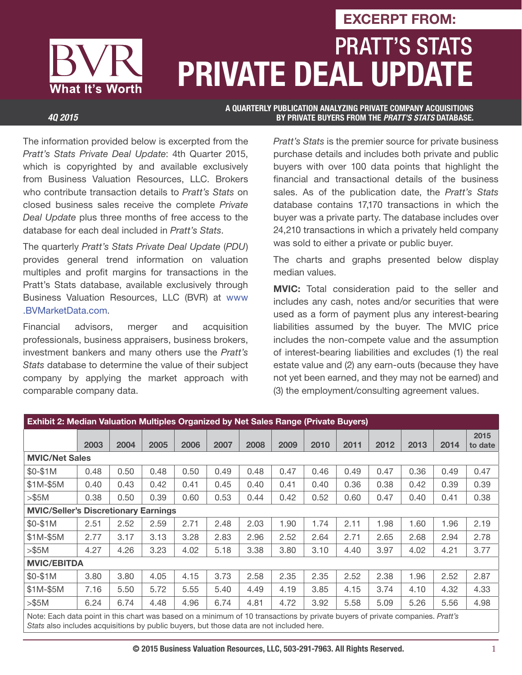# PRATT'S STATS **PRIVATE DEAL UPDATE EXCERPT FROM:**

What It's Worth

**A QUARTERLY PUBLICATION ANALYZING PRIVATE COMPANY ACQUISITIONS**  *4Q 2015* **BY PRIVATE BUYERS FROM THE** *PRATT'S STATS* **DATABASE.**

The information provided below is excerpted from the Pratt's Stats Private Deal Update: 4th Quarter 2015, which is copyrighted by and available exclusively from Business Valuation Resources, LLC. Brokers who contribute transaction details to Pratt's Stats on closed business sales receive the complete Private Deal Update plus three months of free access to the database for each deal included in Pratt's Stats.

The quarterly Pratt's Stats Private Deal Update (PDU) provides general trend information on valuation multiples and profit margins for transactions in the Pratt's Stats database, available exclusively through Business Valuation Resources, LLC (BVR) at www .BVMarketData.com.

Financial advisors, merger and acquisition professionals, business appraisers, business brokers, investment bankers and many others use the Pratt's Stats database to determine the value of their subject company by applying the market approach with comparable company data.

Pratt's Stats is the premier source for private business purchase details and includes both private and public buyers with over 100 data points that highlight the financial and transactional details of the business sales. As of the publication date, the Pratt's Stats database contains 17,170 transactions in which the buyer was a private party. The database includes over 24,210 transactions in which a privately held company was sold to either a private or public buyer.

The charts and graphs presented below display median values.

**MVIC:** Total consideration paid to the seller and includes any cash, notes and/or securities that were used as a form of payment plus any interest-bearing liabilities assumed by the buyer. The MVIC price includes the non-compete value and the assumption of interest-bearing liabilities and excludes (1) the real estate value and (2) any earn-outs (because they have not yet been earned, and they may not be earned) and (3) the employment/consulting agreement values.

| <b>Exhibit 2: Median Valuation Multiples Organized by Net Sales Range (Private Buyers)</b>                                    |      |      |      |      |      |      |      |      |      |      |      |      |                 |
|-------------------------------------------------------------------------------------------------------------------------------|------|------|------|------|------|------|------|------|------|------|------|------|-----------------|
|                                                                                                                               | 2003 | 2004 | 2005 | 2006 | 2007 | 2008 | 2009 | 2010 | 2011 | 2012 | 2013 | 2014 | 2015<br>to date |
| <b>MVIC/Net Sales</b>                                                                                                         |      |      |      |      |      |      |      |      |      |      |      |      |                 |
| $$0-$1M$                                                                                                                      | 0.48 | 0.50 | 0.48 | 0.50 | 0.49 | 0.48 | 0.47 | 0.46 | 0.49 | 0.47 | 0.36 | 0.49 | 0.47            |
| $$1M-$5M$                                                                                                                     | 0.40 | 0.43 | 0.42 | 0.41 | 0.45 | 0.40 | 0.41 | 0.40 | 0.36 | 0.38 | 0.42 | 0.39 | 0.39            |
| > \$5M                                                                                                                        | 0.38 | 0.50 | 0.39 | 0.60 | 0.53 | 0.44 | 0.42 | 0.52 | 0.60 | 0.47 | 0.40 | 0.41 | 0.38            |
| <b>MVIC/Seller's Discretionary Earnings</b>                                                                                   |      |      |      |      |      |      |      |      |      |      |      |      |                 |
| \$0-\$1M                                                                                                                      | 2.51 | 2.52 | 2.59 | 2.71 | 2.48 | 2.03 | 1.90 | 1.74 | 2.11 | 1.98 | 1.60 | 1.96 | 2.19            |
| $$1M-$5M$                                                                                                                     | 2.77 | 3.17 | 3.13 | 3.28 | 2.83 | 2.96 | 2.52 | 2.64 | 2.71 | 2.65 | 2.68 | 2.94 | 2.78            |
| > \$5M                                                                                                                        | 4.27 | 4.26 | 3.23 | 4.02 | 5.18 | 3.38 | 3.80 | 3.10 | 4.40 | 3.97 | 4.02 | 4.21 | 3.77            |
| <b>MVIC/EBITDA</b>                                                                                                            |      |      |      |      |      |      |      |      |      |      |      |      |                 |
| \$0-\$1M                                                                                                                      | 3.80 | 3.80 | 4.05 | 4.15 | 3.73 | 2.58 | 2.35 | 2.35 | 2.52 | 2.38 | 1.96 | 2.52 | 2.87            |
| $$1M-$5M$                                                                                                                     | 7.16 | 5.50 | 5.72 | 5.55 | 5.40 | 4.49 | 4.19 | 3.85 | 4.15 | 3.74 | 4.10 | 4.32 | 4.33            |
| > \$5M                                                                                                                        | 6.24 | 6.74 | 4.48 | 4.96 | 6.74 | 4.81 | 4.72 | 3.92 | 5.58 | 5.09 | 5.26 | 5.56 | 4.98            |
| Note: Each data point in this chart was based on a minimum of 10 transactions by private buyers of private companies. Pratt's |      |      |      |      |      |      |      |      |      |      |      |      |                 |

Stats also includes acquisitions by public buyers, but those data are not included here.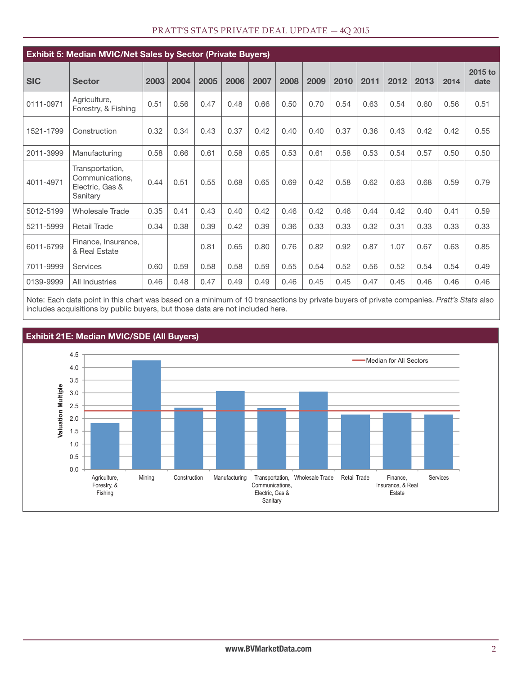| <b>Exhibit 5: Median MVIC/Net Sales by Sector (Private Buyers)</b> |                                                                   |      |      |      |      |      |      |      |      |      |      |      |      |                 |
|--------------------------------------------------------------------|-------------------------------------------------------------------|------|------|------|------|------|------|------|------|------|------|------|------|-----------------|
| <b>SIC</b>                                                         | <b>Sector</b>                                                     | 2003 | 2004 | 2005 | 2006 | 2007 | 2008 | 2009 | 2010 | 2011 | 2012 | 2013 | 2014 | 2015 to<br>date |
| 0111-0971                                                          | Agriculture,<br>Forestry, & Fishing                               | 0.51 | 0.56 | 0.47 | 0.48 | 0.66 | 0.50 | 0.70 | 0.54 | 0.63 | 0.54 | 0.60 | 0.56 | 0.51            |
| 1521-1799                                                          | Construction                                                      | 0.32 | 0.34 | 0.43 | 0.37 | 0.42 | 0.40 | 0.40 | 0.37 | 0.36 | 0.43 | 0.42 | 0.42 | 0.55            |
| 2011-3999                                                          | Manufacturing                                                     | 0.58 | 0.66 | 0.61 | 0.58 | 0.65 | 0.53 | 0.61 | 0.58 | 0.53 | 0.54 | 0.57 | 0.50 | 0.50            |
| 4011-4971                                                          | Transportation,<br>Communications.<br>Electric, Gas &<br>Sanitary | 0.44 | 0.51 | 0.55 | 0.68 | 0.65 | 0.69 | 0.42 | 0.58 | 0.62 | 0.63 | 0.68 | 0.59 | 0.79            |
| 5012-5199                                                          | Wholesale Trade                                                   | 0.35 | 0.41 | 0.43 | 0.40 | 0.42 | 0.46 | 0.42 | 0.46 | 0.44 | 0.42 | 0.40 | 0.41 | 0.59            |
| 5211-5999                                                          | <b>Retail Trade</b>                                               | 0.34 | 0.38 | 0.39 | 0.42 | 0.39 | 0.36 | 0.33 | 0.33 | 0.32 | 0.31 | 0.33 | 0.33 | 0.33            |
| 6011-6799                                                          | Finance, Insurance,<br>& Real Estate                              |      |      | 0.81 | 0.65 | 0.80 | 0.76 | 0.82 | 0.92 | 0.87 | 1.07 | 0.67 | 0.63 | 0.85            |
| 7011-9999                                                          | Services                                                          | 0.60 | 0.59 | 0.58 | 0.58 | 0.59 | 0.55 | 0.54 | 0.52 | 0.56 | 0.52 | 0.54 | 0.54 | 0.49            |
| 0139-9999                                                          | All Industries                                                    | 0.46 | 0.48 | 0.47 | 0.49 | 0.49 | 0.46 | 0.45 | 0.45 | 0.47 | 0.45 | 0.46 | 0.46 | 0.46            |

#### PRATT'S STATS PRIVATE DEAL UPDATE — 4Q 2015

Note: Each data point in this chart was based on a minimum of 10 transactions by private buyers of private companies. Pratt's Stats also includes acquisitions by public buyers, but those data are not included here.



#### **Exhibit 21E: Median MVIC/SDE (All Buyers)**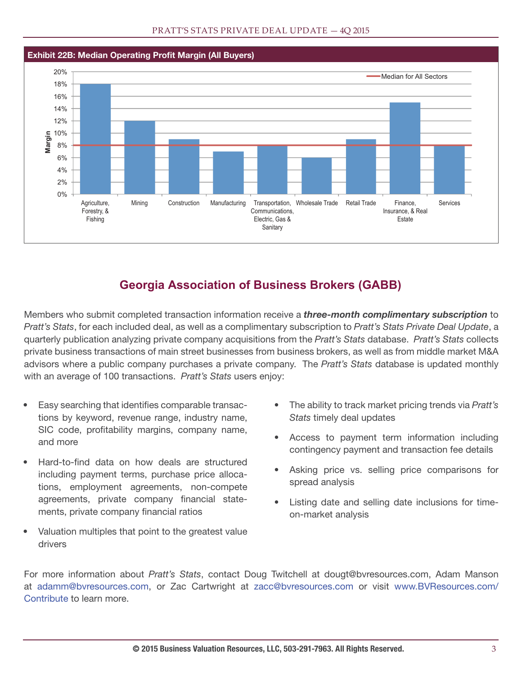

### **Georgia Association of Business Brokers (GABB)**

Members who submit completed transaction information receive a *three-month complimentary subscription* to Pratt's Stats, for each included deal, as well as a complimentary subscription to Pratt's Stats Private Deal Update, a quarterly publication analyzing private company acquisitions from the Pratt's Stats database. Pratt's Stats collects private business transactions of main street businesses from business brokers, as well as from middle market M&A advisors where a public company purchases a private company. The Pratt's Stats database is updated monthly with an average of 100 transactions. Pratt's Stats users enjoy:

- Easy searching that identifies comparable transactions by keyword, revenue range, industry name, SIC code, profitability margins, company name, and more
- Hard-to-find data on how deals are structured including payment terms, purchase price allocations, employment agreements, non-compete agreements, private company financial statements, private company financial ratios
- Valuation multiples that point to the greatest value drivers
- The ability to track market pricing trends via Pratt's Stats timely deal updates
- Access to payment term information including contingency payment and transaction fee details
- Asking price vs. selling price comparisons for spread analysis
- Listing date and selling date inclusions for timeon-market analysis

For more information about Pratt's Stats, contact Doug Twitchell at dougt@bvresources.com, Adam Manson at adamm@bvresources.com, or Zac Cartwright at zacc@bvresources.com or visit www.BVResources.com/ Contribute to learn more.